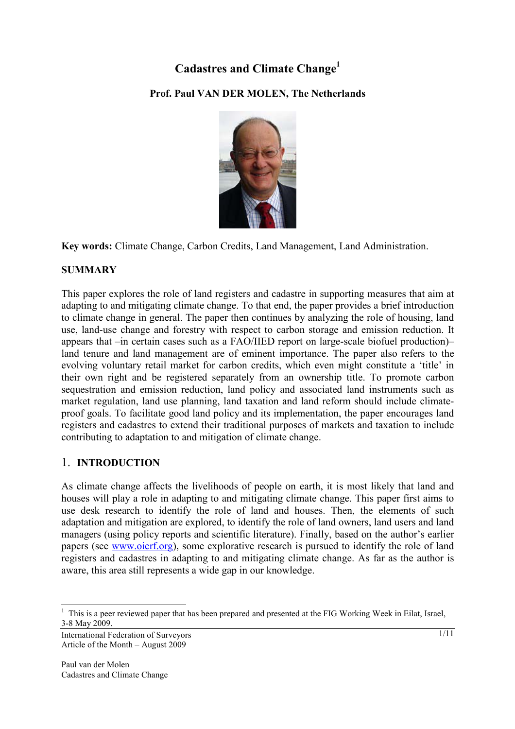# **Cadastres and Climate Change1**

## **Prof. Paul VAN DER MOLEN, The Netherlands**



**Key words:** Climate Change, Carbon Credits, Land Management, Land Administration.

## **SUMMARY**

This paper explores the role of land registers and cadastre in supporting measures that aim at adapting to and mitigating climate change. To that end, the paper provides a brief introduction to climate change in general. The paper then continues by analyzing the role of housing, land use, land-use change and forestry with respect to carbon storage and emission reduction. It appears that –in certain cases such as a FAO/IIED report on large-scale biofuel production)– land tenure and land management are of eminent importance. The paper also refers to the evolving voluntary retail market for carbon credits, which even might constitute a 'title' in their own right and be registered separately from an ownership title. To promote carbon sequestration and emission reduction, land policy and associated land instruments such as market regulation, land use planning, land taxation and land reform should include climateproof goals. To facilitate good land policy and its implementation, the paper encourages land registers and cadastres to extend their traditional purposes of markets and taxation to include contributing to adaptation to and mitigation of climate change.

## 1. **INTRODUCTION**

As climate change affects the livelihoods of people on earth, it is most likely that land and houses will play a role in adapting to and mitigating climate change. This paper first aims to use desk research to identify the role of land and houses. Then, the elements of such adaptation and mitigation are explored, to identify the role of land owners, land users and land managers (using policy reports and scientific literature). Finally, based on the author's earlier papers (see www.oicrf.org), some explorative research is pursued to identify the role of land registers and cadastres in adapting to and mitigating climate change. As far as the author is aware, this area still represents a wide gap in our knowledge.

l

<sup>1</sup> This is a peer reviewed paper that has been prepared and presented at the FIG Working Week in Eilat, Israel, 3-8 May 2009.

International Federation of Surveyors Article of the Month – August 2009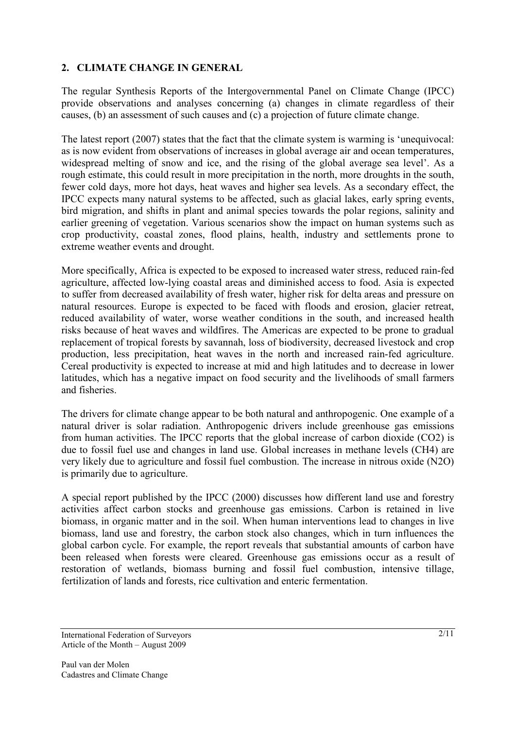## **2. CLIMATE CHANGE IN GENERAL**

The regular Synthesis Reports of the Intergovernmental Panel on Climate Change (IPCC) provide observations and analyses concerning (a) changes in climate regardless of their causes, (b) an assessment of such causes and (c) a projection of future climate change.

The latest report (2007) states that the fact that the climate system is warming is 'unequivocal: as is now evident from observations of increases in global average air and ocean temperatures, widespread melting of snow and ice, and the rising of the global average sea level'. As a rough estimate, this could result in more precipitation in the north, more droughts in the south, fewer cold days, more hot days, heat waves and higher sea levels. As a secondary effect, the IPCC expects many natural systems to be affected, such as glacial lakes, early spring events, bird migration, and shifts in plant and animal species towards the polar regions, salinity and earlier greening of vegetation. Various scenarios show the impact on human systems such as crop productivity, coastal zones, flood plains, health, industry and settlements prone to extreme weather events and drought.

More specifically, Africa is expected to be exposed to increased water stress, reduced rain-fed agriculture, affected low-lying coastal areas and diminished access to food. Asia is expected to suffer from decreased availability of fresh water, higher risk for delta areas and pressure on natural resources. Europe is expected to be faced with floods and erosion, glacier retreat, reduced availability of water, worse weather conditions in the south, and increased health risks because of heat waves and wildfires. The Americas are expected to be prone to gradual replacement of tropical forests by savannah, loss of biodiversity, decreased livestock and crop production, less precipitation, heat waves in the north and increased rain-fed agriculture. Cereal productivity is expected to increase at mid and high latitudes and to decrease in lower latitudes, which has a negative impact on food security and the livelihoods of small farmers and fisheries.

The drivers for climate change appear to be both natural and anthropogenic. One example of a natural driver is solar radiation. Anthropogenic drivers include greenhouse gas emissions from human activities. The IPCC reports that the global increase of carbon dioxide (CO2) is due to fossil fuel use and changes in land use. Global increases in methane levels (CH4) are very likely due to agriculture and fossil fuel combustion. The increase in nitrous oxide (N2O) is primarily due to agriculture.

A special report published by the IPCC (2000) discusses how different land use and forestry activities affect carbon stocks and greenhouse gas emissions. Carbon is retained in live biomass, in organic matter and in the soil. When human interventions lead to changes in live biomass, land use and forestry, the carbon stock also changes, which in turn influences the global carbon cycle. For example, the report reveals that substantial amounts of carbon have been released when forests were cleared. Greenhouse gas emissions occur as a result of restoration of wetlands, biomass burning and fossil fuel combustion, intensive tillage, fertilization of lands and forests, rice cultivation and enteric fermentation.

International Federation of Surveyors Article of the Month – August 2009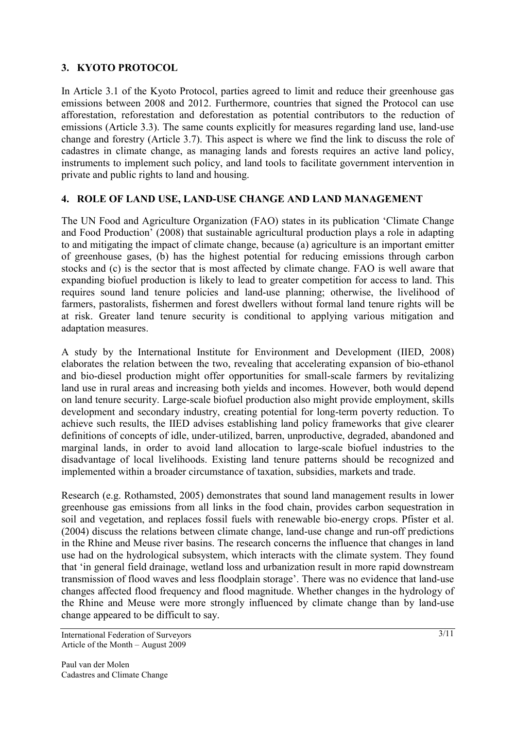## **3. KYOTO PROTOCOL**

In Article 3.1 of the Kyoto Protocol, parties agreed to limit and reduce their greenhouse gas emissions between 2008 and 2012. Furthermore, countries that signed the Protocol can use afforestation, reforestation and deforestation as potential contributors to the reduction of emissions (Article 3.3). The same counts explicitly for measures regarding land use, land-use change and forestry (Article 3.7). This aspect is where we find the link to discuss the role of cadastres in climate change, as managing lands and forests requires an active land policy, instruments to implement such policy, and land tools to facilitate government intervention in private and public rights to land and housing.

#### **4. ROLE OF LAND USE, LAND-USE CHANGE AND LAND MANAGEMENT**

The UN Food and Agriculture Organization (FAO) states in its publication 'Climate Change and Food Production' (2008) that sustainable agricultural production plays a role in adapting to and mitigating the impact of climate change, because (a) agriculture is an important emitter of greenhouse gases, (b) has the highest potential for reducing emissions through carbon stocks and (c) is the sector that is most affected by climate change. FAO is well aware that expanding biofuel production is likely to lead to greater competition for access to land. This requires sound land tenure policies and land-use planning; otherwise, the livelihood of farmers, pastoralists, fishermen and forest dwellers without formal land tenure rights will be at risk. Greater land tenure security is conditional to applying various mitigation and adaptation measures.

A study by the International Institute for Environment and Development (IIED, 2008) elaborates the relation between the two, revealing that accelerating expansion of bio-ethanol and bio-diesel production might offer opportunities for small-scale farmers by revitalizing land use in rural areas and increasing both yields and incomes. However, both would depend on land tenure security. Large-scale biofuel production also might provide employment, skills development and secondary industry, creating potential for long-term poverty reduction. To achieve such results, the IIED advises establishing land policy frameworks that give clearer definitions of concepts of idle, under-utilized, barren, unproductive, degraded, abandoned and marginal lands, in order to avoid land allocation to large-scale biofuel industries to the disadvantage of local livelihoods. Existing land tenure patterns should be recognized and implemented within a broader circumstance of taxation, subsidies, markets and trade.

Research (e.g. Rothamsted, 2005) demonstrates that sound land management results in lower greenhouse gas emissions from all links in the food chain, provides carbon sequestration in soil and vegetation, and replaces fossil fuels with renewable bio-energy crops. Pfister et al. (2004) discuss the relations between climate change, land-use change and run-off predictions in the Rhine and Meuse river basins. The research concerns the influence that changes in land use had on the hydrological subsystem, which interacts with the climate system. They found that 'in general field drainage, wetland loss and urbanization result in more rapid downstream transmission of flood waves and less floodplain storage'. There was no evidence that land-use changes affected flood frequency and flood magnitude. Whether changes in the hydrology of the Rhine and Meuse were more strongly influenced by climate change than by land-use change appeared to be difficult to say.

International Federation of Surveyors Article of the Month – August 2009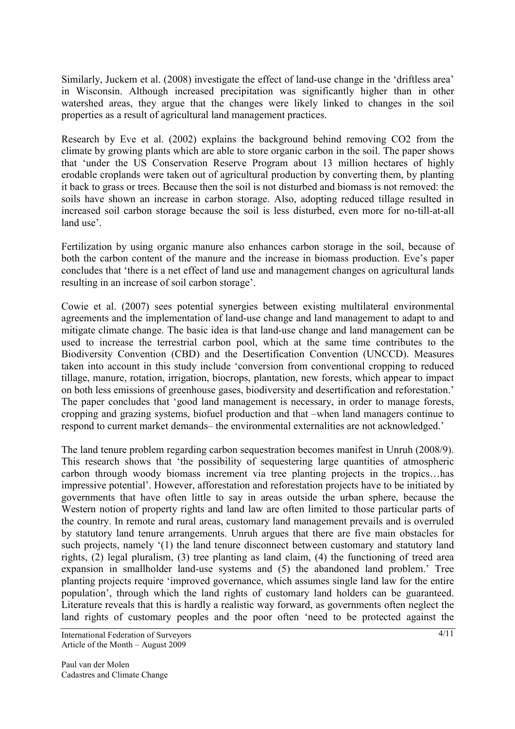Similarly, Juckem et al. (2008) investigate the effect of land-use change in the 'driftless area' in Wisconsin. Although increased precipitation was significantly higher than in other watershed areas, they argue that the changes were likely linked to changes in the soil properties as a result of agricultural land management practices.

Research by Eve et al. (2002) explains the background behind removing CO2 from the climate by growing plants which are able to store organic carbon in the soil. The paper shows that 'under the US Conservation Reserve Program about 13 million hectares of highly erodable croplands were taken out of agricultural production by converting them, by planting it back to grass or trees. Because then the soil is not disturbed and biomass is not removed: the soils have shown an increase in carbon storage. Also, adopting reduced tillage resulted in increased soil carbon storage because the soil is less disturbed, even more for no-till-at-all land use'.

Fertilization by using organic manure also enhances carbon storage in the soil, because of both the carbon content of the manure and the increase in biomass production. Eve's paper concludes that 'there is a net effect of land use and management changes on agricultural lands resulting in an increase of soil carbon storage'.

Cowie et al. (2007) sees potential synergies between existing multilateral environmental agreements and the implementation of land-use change and land management to adapt to and mitigate climate change. The basic idea is that land-use change and land management can be used to increase the terrestrial carbon pool, which at the same time contributes to the Biodiversity Convention (CBD) and the Desertification Convention (UNCCD). Measures taken into account in this study include 'conversion from conventional cropping to reduced tillage, manure, rotation, irrigation, biocrops, plantation, new forests, which appear to impact on both less emissions of greenhouse gases, biodiversity and desertification and reforestation.' The paper concludes that 'good land management is necessary, in order to manage forests, cropping and grazing systems, biofuel production and that –when land managers continue to respond to current market demands– the environmental externalities are not acknowledged.'

The land tenure problem regarding carbon sequestration becomes manifest in Unruh (2008/9). This research shows that 'the possibility of sequestering large quantities of atmospheric carbon through woody biomass increment via tree planting projects in the tropics…has impressive potential'. However, afforestation and reforestation projects have to be initiated by governments that have often little to say in areas outside the urban sphere, because the Western notion of property rights and land law are often limited to those particular parts of the country. In remote and rural areas, customary land management prevails and is overruled by statutory land tenure arrangements. Unruh argues that there are five main obstacles for such projects, namely '(1) the land tenure disconnect between customary and statutory land rights, (2) legal pluralism, (3) tree planting as land claim, (4) the functioning of treed area expansion in smallholder land-use systems and (5) the abandoned land problem.' Tree planting projects require 'improved governance, which assumes single land law for the entire population', through which the land rights of customary land holders can be guaranteed. Literature reveals that this is hardly a realistic way forward, as governments often neglect the land rights of customary peoples and the poor often 'need to be protected against the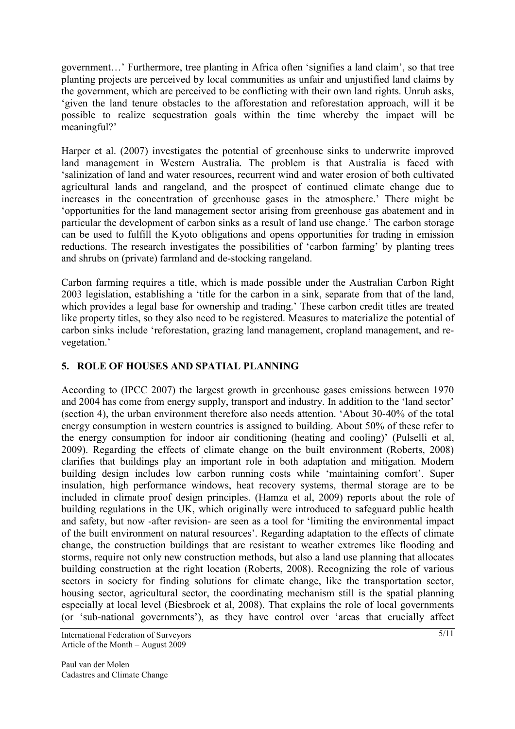government…' Furthermore, tree planting in Africa often 'signifies a land claim', so that tree planting projects are perceived by local communities as unfair and unjustified land claims by the government, which are perceived to be conflicting with their own land rights. Unruh asks, 'given the land tenure obstacles to the afforestation and reforestation approach, will it be possible to realize sequestration goals within the time whereby the impact will be meaningful?'

Harper et al. (2007) investigates the potential of greenhouse sinks to underwrite improved land management in Western Australia. The problem is that Australia is faced with 'salinization of land and water resources, recurrent wind and water erosion of both cultivated agricultural lands and rangeland, and the prospect of continued climate change due to increases in the concentration of greenhouse gases in the atmosphere.' There might be 'opportunities for the land management sector arising from greenhouse gas abatement and in particular the development of carbon sinks as a result of land use change.' The carbon storage can be used to fulfill the Kyoto obligations and opens opportunities for trading in emission reductions. The research investigates the possibilities of 'carbon farming' by planting trees and shrubs on (private) farmland and de-stocking rangeland.

Carbon farming requires a title, which is made possible under the Australian Carbon Right 2003 legislation, establishing a 'title for the carbon in a sink, separate from that of the land, which provides a legal base for ownership and trading.' These carbon credit titles are treated like property titles, so they also need to be registered. Measures to materialize the potential of carbon sinks include 'reforestation, grazing land management, cropland management, and revegetation.'

## **5. ROLE OF HOUSES AND SPATIAL PLANNING**

According to (IPCC 2007) the largest growth in greenhouse gases emissions between 1970 and 2004 has come from energy supply, transport and industry. In addition to the 'land sector' (section 4), the urban environment therefore also needs attention. 'About 30-40% of the total energy consumption in western countries is assigned to building. About 50% of these refer to the energy consumption for indoor air conditioning (heating and cooling)' (Pulselli et al, 2009). Regarding the effects of climate change on the built environment (Roberts, 2008) clarifies that buildings play an important role in both adaptation and mitigation. Modern building design includes low carbon running costs while 'maintaining comfort'. Super insulation, high performance windows, heat recovery systems, thermal storage are to be included in climate proof design principles. (Hamza et al, 2009) reports about the role of building regulations in the UK, which originally were introduced to safeguard public health and safety, but now -after revision- are seen as a tool for 'limiting the environmental impact of the built environment on natural resources'. Regarding adaptation to the effects of climate change, the construction buildings that are resistant to weather extremes like flooding and storms, require not only new construction methods, but also a land use planning that allocates building construction at the right location (Roberts, 2008). Recognizing the role of various sectors in society for finding solutions for climate change, like the transportation sector, housing sector, agricultural sector, the coordinating mechanism still is the spatial planning especially at local level (Biesbroek et al, 2008). That explains the role of local governments (or 'sub-national governments'), as they have control over 'areas that crucially affect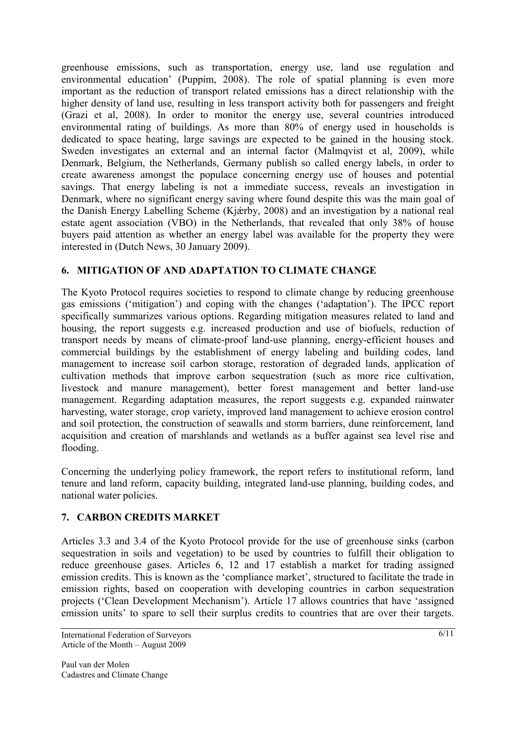greenhouse emissions, such as transportation, energy use, land use regulation and environmental education' (Puppim, 2008). The role of spatial planning is even more important as the reduction of transport related emissions has a direct relationship with the higher density of land use, resulting in less transport activity both for passengers and freight (Grazi et al, 2008). In order to monitor the energy use, several countries introduced environmental rating of buildings. As more than 80% of energy used in households is dedicated to space heating, large savings are expected to be gained in the housing stock. Sweden investigates an external and an internal factor (Malmqvist et al, 2009), while Denmark, Belgium, the Netherlands, Germany publish so called energy labels, in order to create awareness amongst the populace concerning energy use of houses and potential savings. That energy labeling is not a immediate success, reveals an investigation in Denmark, where no significant energy saving where found despite this was the main goal of the Danish Energy Labelling Scheme (Kjǽrby, 2008) and an investigation by a national real estate agent association (VBO) in the Netherlands, that revealed that only 38% of house buyers paid attention as whether an energy label was available for the property they were interested in (Dutch News, 30 January 2009).

## **6. MITIGATION OF AND ADAPTATION TO CLIMATE CHANGE**

The Kyoto Protocol requires societies to respond to climate change by reducing greenhouse gas emissions ('mitigation') and coping with the changes ('adaptation'). The IPCC report specifically summarizes various options. Regarding mitigation measures related to land and housing, the report suggests e.g. increased production and use of biofuels, reduction of transport needs by means of climate-proof land-use planning, energy-efficient houses and commercial buildings by the establishment of energy labeling and building codes, land management to increase soil carbon storage, restoration of degraded lands, application of cultivation methods that improve carbon sequestration (such as more rice cultivation, livestock and manure management), better forest management and better land-use management. Regarding adaptation measures, the report suggests e.g. expanded rainwater harvesting, water storage, crop variety, improved land management to achieve erosion control and soil protection, the construction of seawalls and storm barriers, dune reinforcement, land acquisition and creation of marshlands and wetlands as a buffer against sea level rise and flooding.

Concerning the underlying policy framework, the report refers to institutional reform, land tenure and land reform, capacity building, integrated land-use planning, building codes, and national water policies.

## **7. CARBON CREDITS MARKET**

Articles 3.3 and 3.4 of the Kyoto Protocol provide for the use of greenhouse sinks (carbon sequestration in soils and vegetation) to be used by countries to fulfill their obligation to reduce greenhouse gases. Articles 6, 12 and 17 establish a market for trading assigned emission credits. This is known as the 'compliance market', structured to facilitate the trade in emission rights, based on cooperation with developing countries in carbon sequestration projects ('Clean Development Mechanism'). Article 17 allows countries that have 'assigned emission units' to spare to sell their surplus credits to countries that are over their targets.

International Federation of Surveyors Article of the Month – August 2009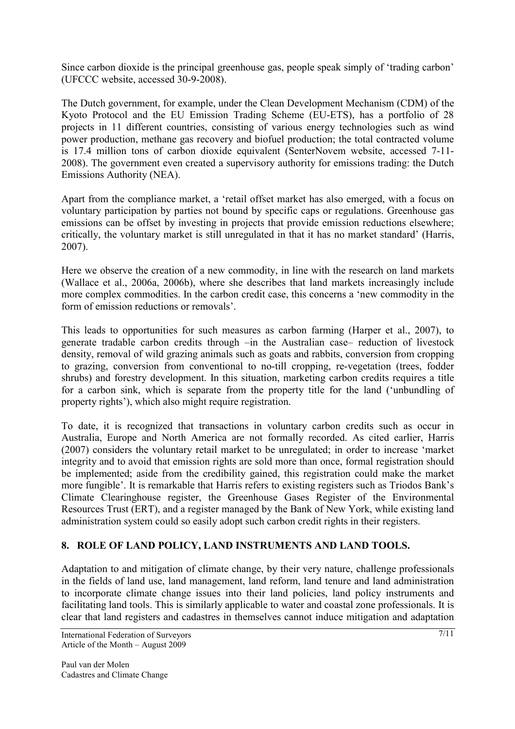Since carbon dioxide is the principal greenhouse gas, people speak simply of 'trading carbon' (UFCCC website, accessed 30-9-2008).

The Dutch government, for example, under the Clean Development Mechanism (CDM) of the Kyoto Protocol and the EU Emission Trading Scheme (EU-ETS), has a portfolio of 28 projects in 11 different countries, consisting of various energy technologies such as wind power production, methane gas recovery and biofuel production; the total contracted volume is 17.4 million tons of carbon dioxide equivalent (SenterNovem website, accessed 7-11- 2008). The government even created a supervisory authority for emissions trading: the Dutch Emissions Authority (NEA).

Apart from the compliance market, a 'retail offset market has also emerged, with a focus on voluntary participation by parties not bound by specific caps or regulations. Greenhouse gas emissions can be offset by investing in projects that provide emission reductions elsewhere; critically, the voluntary market is still unregulated in that it has no market standard' (Harris, 2007).

Here we observe the creation of a new commodity, in line with the research on land markets (Wallace et al., 2006a, 2006b), where she describes that land markets increasingly include more complex commodities. In the carbon credit case, this concerns a 'new commodity in the form of emission reductions or removals'.

This leads to opportunities for such measures as carbon farming (Harper et al., 2007), to generate tradable carbon credits through –in the Australian case– reduction of livestock density, removal of wild grazing animals such as goats and rabbits, conversion from cropping to grazing, conversion from conventional to no-till cropping, re-vegetation (trees, fodder shrubs) and forestry development. In this situation, marketing carbon credits requires a title for a carbon sink, which is separate from the property title for the land ('unbundling of property rights'), which also might require registration.

To date, it is recognized that transactions in voluntary carbon credits such as occur in Australia, Europe and North America are not formally recorded. As cited earlier, Harris (2007) considers the voluntary retail market to be unregulated; in order to increase 'market integrity and to avoid that emission rights are sold more than once, formal registration should be implemented; aside from the credibility gained, this registration could make the market more fungible'. It is remarkable that Harris refers to existing registers such as Triodos Bank's Climate Clearinghouse register, the Greenhouse Gases Register of the Environmental Resources Trust (ERT), and a register managed by the Bank of New York, while existing land administration system could so easily adopt such carbon credit rights in their registers.

## **8. ROLE OF LAND POLICY, LAND INSTRUMENTS AND LAND TOOLS.**

Adaptation to and mitigation of climate change, by their very nature, challenge professionals in the fields of land use, land management, land reform, land tenure and land administration to incorporate climate change issues into their land policies, land policy instruments and facilitating land tools. This is similarly applicable to water and coastal zone professionals. It is clear that land registers and cadastres in themselves cannot induce mitigation and adaptation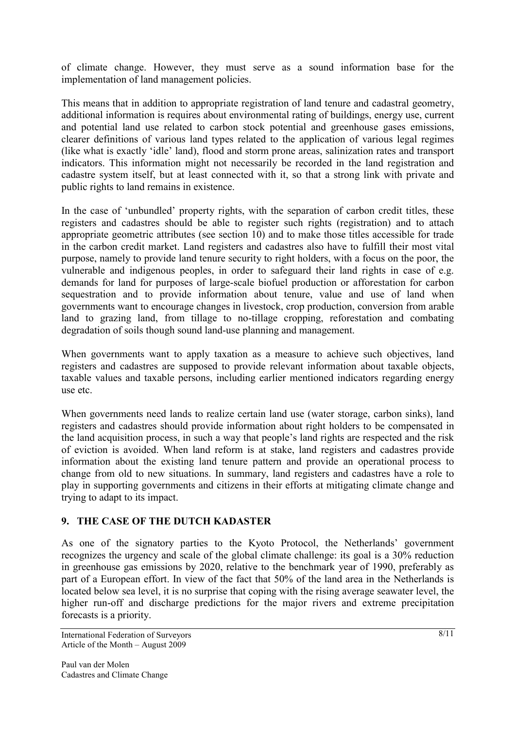of climate change. However, they must serve as a sound information base for the implementation of land management policies.

This means that in addition to appropriate registration of land tenure and cadastral geometry, additional information is requires about environmental rating of buildings, energy use, current and potential land use related to carbon stock potential and greenhouse gases emissions, clearer definitions of various land types related to the application of various legal regimes (like what is exactly 'idle' land), flood and storm prone areas, salinization rates and transport indicators. This information might not necessarily be recorded in the land registration and cadastre system itself, but at least connected with it, so that a strong link with private and public rights to land remains in existence.

In the case of 'unbundled' property rights, with the separation of carbon credit titles, these registers and cadastres should be able to register such rights (registration) and to attach appropriate geometric attributes (see section 10) and to make those titles accessible for trade in the carbon credit market. Land registers and cadastres also have to fulfill their most vital purpose, namely to provide land tenure security to right holders, with a focus on the poor, the vulnerable and indigenous peoples, in order to safeguard their land rights in case of e.g. demands for land for purposes of large-scale biofuel production or afforestation for carbon sequestration and to provide information about tenure, value and use of land when governments want to encourage changes in livestock, crop production, conversion from arable land to grazing land, from tillage to no-tillage cropping, reforestation and combating degradation of soils though sound land-use planning and management.

When governments want to apply taxation as a measure to achieve such objectives, land registers and cadastres are supposed to provide relevant information about taxable objects, taxable values and taxable persons, including earlier mentioned indicators regarding energy use etc.

When governments need lands to realize certain land use (water storage, carbon sinks), land registers and cadastres should provide information about right holders to be compensated in the land acquisition process, in such a way that people's land rights are respected and the risk of eviction is avoided. When land reform is at stake, land registers and cadastres provide information about the existing land tenure pattern and provide an operational process to change from old to new situations. In summary, land registers and cadastres have a role to play in supporting governments and citizens in their efforts at mitigating climate change and trying to adapt to its impact.

#### **9. THE CASE OF THE DUTCH KADASTER**

As one of the signatory parties to the Kyoto Protocol, the Netherlands' government recognizes the urgency and scale of the global climate challenge: its goal is a 30% reduction in greenhouse gas emissions by 2020, relative to the benchmark year of 1990, preferably as part of a European effort. In view of the fact that 50% of the land area in the Netherlands is located below sea level, it is no surprise that coping with the rising average seawater level, the higher run-off and discharge predictions for the major rivers and extreme precipitation forecasts is a priority.

International Federation of Surveyors Article of the Month – August 2009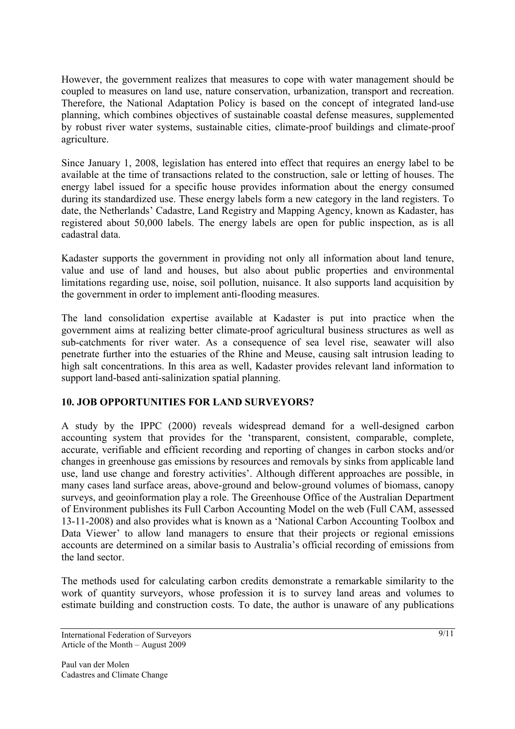However, the government realizes that measures to cope with water management should be coupled to measures on land use, nature conservation, urbanization, transport and recreation. Therefore, the National Adaptation Policy is based on the concept of integrated land-use planning, which combines objectives of sustainable coastal defense measures, supplemented by robust river water systems, sustainable cities, climate-proof buildings and climate-proof agriculture.

Since January 1, 2008, legislation has entered into effect that requires an energy label to be available at the time of transactions related to the construction, sale or letting of houses. The energy label issued for a specific house provides information about the energy consumed during its standardized use. These energy labels form a new category in the land registers. To date, the Netherlands' Cadastre, Land Registry and Mapping Agency, known as Kadaster, has registered about 50,000 labels. The energy labels are open for public inspection, as is all cadastral data.

Kadaster supports the government in providing not only all information about land tenure, value and use of land and houses, but also about public properties and environmental limitations regarding use, noise, soil pollution, nuisance. It also supports land acquisition by the government in order to implement anti-flooding measures.

The land consolidation expertise available at Kadaster is put into practice when the government aims at realizing better climate-proof agricultural business structures as well as sub-catchments for river water. As a consequence of sea level rise, seawater will also penetrate further into the estuaries of the Rhine and Meuse, causing salt intrusion leading to high salt concentrations. In this area as well, Kadaster provides relevant land information to support land-based anti-salinization spatial planning.

#### **10. JOB OPPORTUNITIES FOR LAND SURVEYORS?**

A study by the IPPC (2000) reveals widespread demand for a well-designed carbon accounting system that provides for the 'transparent, consistent, comparable, complete, accurate, verifiable and efficient recording and reporting of changes in carbon stocks and/or changes in greenhouse gas emissions by resources and removals by sinks from applicable land use, land use change and forestry activities'. Although different approaches are possible, in many cases land surface areas, above-ground and below-ground volumes of biomass, canopy surveys, and geoinformation play a role. The Greenhouse Office of the Australian Department of Environment publishes its Full Carbon Accounting Model on the web (Full CAM, assessed 13-11-2008) and also provides what is known as a 'National Carbon Accounting Toolbox and Data Viewer' to allow land managers to ensure that their projects or regional emissions accounts are determined on a similar basis to Australia's official recording of emissions from the land sector.

The methods used for calculating carbon credits demonstrate a remarkable similarity to the work of quantity surveyors, whose profession it is to survey land areas and volumes to estimate building and construction costs. To date, the author is unaware of any publications

International Federation of Surveyors Article of the Month – August 2009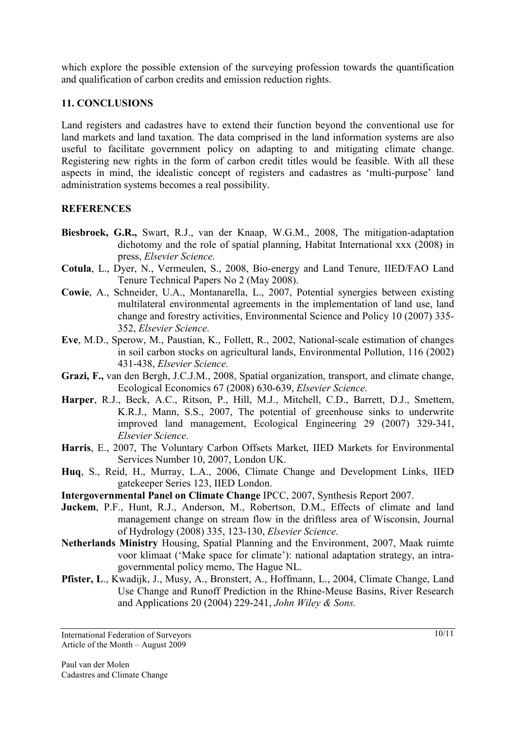which explore the possible extension of the surveying profession towards the quantification and qualification of carbon credits and emission reduction rights.

#### **11. CONCLUSIONS**

Land registers and cadastres have to extend their function beyond the conventional use for land markets and land taxation. The data comprised in the land information systems are also useful to facilitate government policy on adapting to and mitigating climate change. Registering new rights in the form of carbon credit titles would be feasible. With all these aspects in mind, the idealistic concept of registers and cadastres as 'multi-purpose' land administration systems becomes a real possibility.

## **REFERENCES**

- **Biesbroek, G.R.,** Swart, R.J., van der Knaap, W.G.M., 2008, The mitigation-adaptation dichotomy and the role of spatial planning, Habitat International xxx (2008) in press, *Elsevier Science.*
- **Cotula**, L., Dyer, N., Vermeulen, S., 2008, Bio-energy and Land Tenure, IIED/FAO Land Tenure Technical Papers No 2 (May 2008).
- **Cowie**, A., Schneider, U.A., Montanarella, L., 2007, Potential synergies between existing multilateral environmental agreements in the implementation of land use, land change and forestry activities, Environmental Science and Policy 10 (2007) 335- 352, *Elsevier Science*.
- **Eve**, M.D., Sperow, M., Paustian, K., Follett, R., 2002, National-scale estimation of changes in soil carbon stocks on agricultural lands, Environmental Pollution, 116 (2002) 431-438, *Elsevier Science.*
- **Grazi, F.,** van den Bergh, J.C.J.M., 2008, Spatial organization, transport, and climate change, Ecological Economics 67 (2008) 630-639, *Elsevier Science.*
- **Harper**, R.J., Beck, A.C., Ritson, P., Hill, M.J., Mitchell, C.D., Barrett, D.J., Smettem, K.R.J., Mann, S.S., 2007, The potential of greenhouse sinks to underwrite improved land management, Ecological Engineering 29 (2007) 329-341, *Elsevier Science*.
- **Harris**, E., 2007, The Voluntary Carbon Offsets Market, IIED Markets for Environmental Services Number 10, 2007, London UK.
- **Huq**, S., Reid, H., Murray, L.A., 2006, Climate Change and Development Links, IIED gatekeeper Series 123, IIED London.
- **Intergovernmental Panel on Climate Change** IPCC, 2007, Synthesis Report 2007.
- Juckem, P.F., Hunt, R.J., Anderson, M., Robertson, D.M., Effects of climate and land management change on stream flow in the driftless area of Wisconsin, Journal of Hydrology (2008) 335, 123-130, *Elsevier Science*.
- **Netherlands Ministry** Housing, Spatial Planning and the Environment, 2007, Maak ruimte voor klimaat ('Make space for climate'): national adaptation strategy, an intragovernmental policy memo, The Hague NL.
- Pfister, L., Kwadijk, J., Musy, A., Bronstert, A., Hoffmann, L., 2004, Climate Change, Land Use Change and Runoff Prediction in the Rhine-Meuse Basins, River Research and Applications 20 (2004) 229-241, *John Wiley & Sons.*

International Federation of Surveyors Article of the Month – August 2009